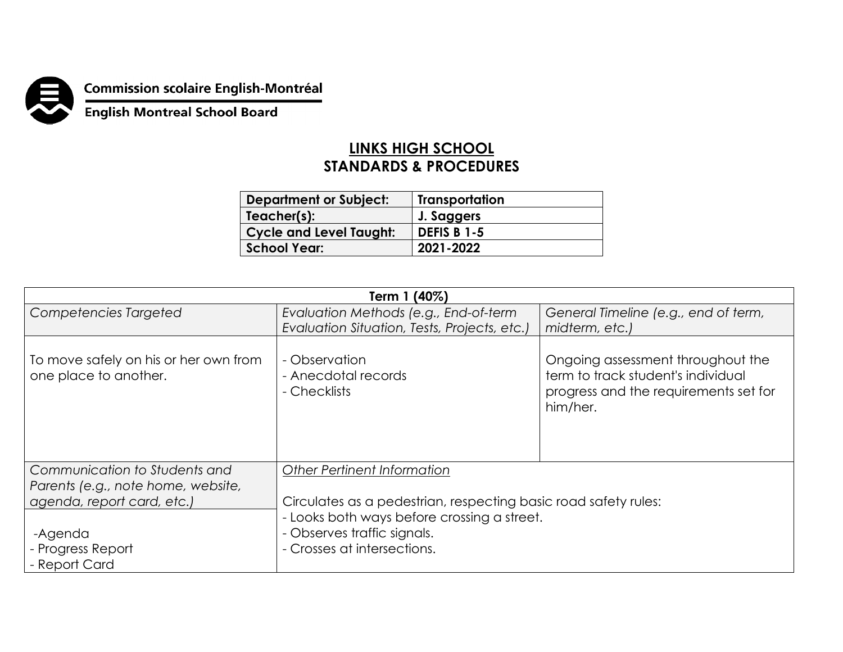

**Commission scolaire English-Montréal<br>English Montreal School Board** 

## **LINKS HIGH SCHOOL STANDARDS & PROCEDURES**

| <b>Department or Subject:</b>  | <b>Transportation</b> |
|--------------------------------|-----------------------|
| Teacher(s):                    | J. Saggers            |
| <b>Cycle and Level Taught:</b> | <b>DEFIS B 1-5</b>    |
| <b>School Year:</b>            | 2021-2022             |

| Term 1 (40%)                                                   |                                                                                                                                                                              |                                                                                                                              |  |  |
|----------------------------------------------------------------|------------------------------------------------------------------------------------------------------------------------------------------------------------------------------|------------------------------------------------------------------------------------------------------------------------------|--|--|
| Competencies Targeted                                          | Evaluation Methods (e.g., End-of-term                                                                                                                                        | General Timeline (e.g., end of term,                                                                                         |  |  |
|                                                                | Evaluation Situation, Tests, Projects, etc.)                                                                                                                                 | midterm, etc.)                                                                                                               |  |  |
| To move safely on his or her own from<br>one place to another. | - Observation<br>- Anecdotal records<br>- Checklists                                                                                                                         | Ongoing assessment throughout the<br>term to track student's individual<br>progress and the requirements set for<br>him/her. |  |  |
| Communication to Students and                                  | <b>Other Pertinent Information</b>                                                                                                                                           |                                                                                                                              |  |  |
| Parents (e.g., note home, website,                             |                                                                                                                                                                              |                                                                                                                              |  |  |
| agenda, report card, etc.)                                     | Circulates as a pedestrian, respecting basic road safety rules:<br>- Looks both ways before crossing a street.<br>- Observes traffic signals.<br>- Crosses at intersections. |                                                                                                                              |  |  |
| -Agenda<br>- Progress Report<br>- Report Card                  |                                                                                                                                                                              |                                                                                                                              |  |  |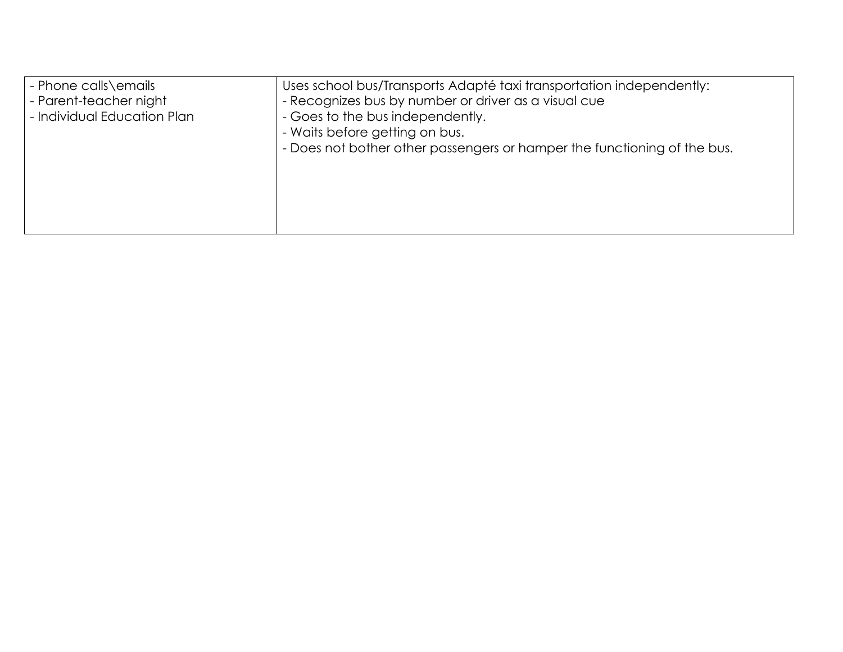| - Phone calls\emails<br>- Parent-teacher night<br>- Individual Education Plan | Uses school bus/Transports Adapté taxi transportation independently:<br>- Recognizes bus by number or driver as a visual cue<br>- Goes to the bus independently.<br>- Waits before getting on bus.<br>- Does not bother other passengers or hamper the functioning of the bus. |
|-------------------------------------------------------------------------------|--------------------------------------------------------------------------------------------------------------------------------------------------------------------------------------------------------------------------------------------------------------------------------|
|                                                                               |                                                                                                                                                                                                                                                                                |